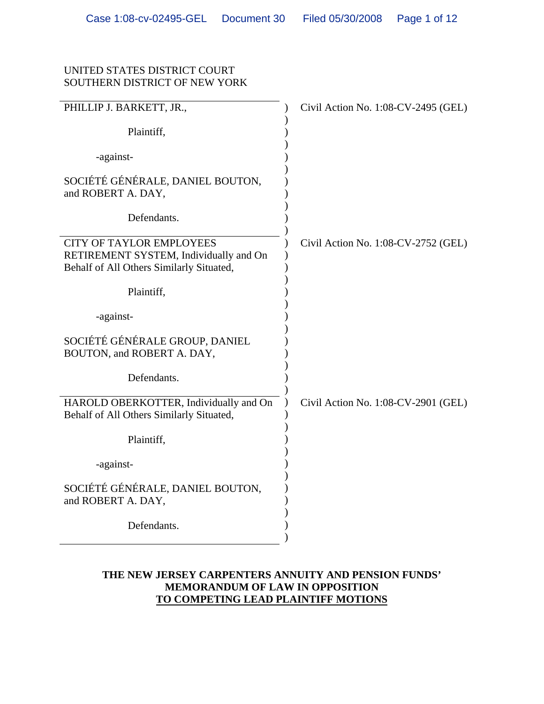### UNITED STATES DISTRICT COURT SOUTHERN DISTRICT OF NEW YORK

| PHILLIP J. BARKETT, JR.,                                                                                              | Civil Action No. 1:08-CV-2495 (GEL) |
|-----------------------------------------------------------------------------------------------------------------------|-------------------------------------|
| Plaintiff,                                                                                                            |                                     |
| -against-                                                                                                             |                                     |
| SOCIÉTÉ GÉNÉRALE, DANIEL BOUTON,<br>and ROBERT A. DAY,                                                                |                                     |
| Defendants.                                                                                                           |                                     |
| <b>CITY OF TAYLOR EMPLOYEES</b><br>RETIREMENT SYSTEM, Individually and On<br>Behalf of All Others Similarly Situated, | Civil Action No. 1:08-CV-2752 (GEL) |
| Plaintiff,                                                                                                            |                                     |
| -against-                                                                                                             |                                     |
| SOCIÉTÉ GÉNÉRALE GROUP, DANIEL<br>BOUTON, and ROBERT A. DAY,                                                          |                                     |
| Defendants.                                                                                                           |                                     |
| HAROLD OBERKOTTER, Individually and On<br>Behalf of All Others Similarly Situated,                                    | Civil Action No. 1:08-CV-2901 (GEL) |
| Plaintiff,                                                                                                            |                                     |
| -against-                                                                                                             |                                     |
| SOCIÉTÉ GÉNÉRALE, DANIEL BOUTON,<br>and ROBERT A. DAY,                                                                |                                     |
| Defendants.                                                                                                           |                                     |

### **THE NEW JERSEY CARPENTERS ANNUITY AND PENSION FUNDS' MEMORANDUM OF LAW IN OPPOSITION TO COMPETING LEAD PLAINTIFF MOTIONS**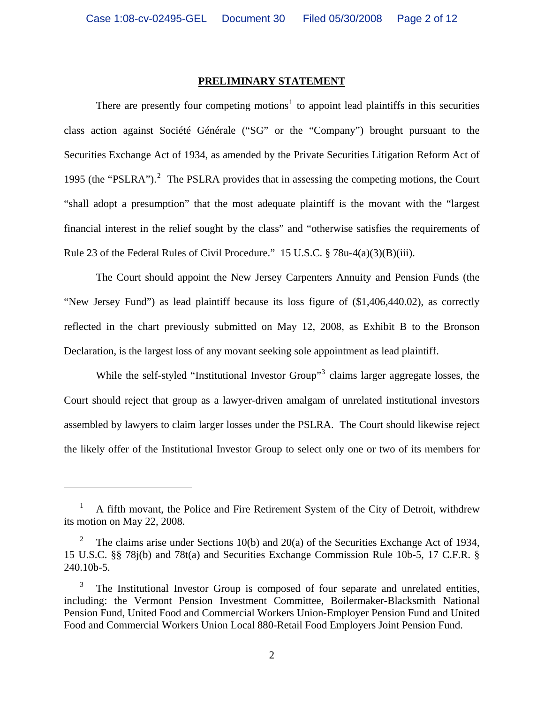#### **PRELIMINARY STATEMENT**

There are presently four competing motions<sup>[1](#page-1-0)</sup> to appoint lead plaintiffs in this securities class action against Société Générale ("SG" or the "Company") brought pursuant to the Securities Exchange Act of 1934, as amended by the Private Securities Litigation Reform Act of 1995 (the "PSLRA"). $^2$  $^2$  The PSLRA provides that in assessing the competing motions, the Court "shall adopt a presumption" that the most adequate plaintiff is the movant with the "largest financial interest in the relief sought by the class" and "otherwise satisfies the requirements of Rule 23 of the Federal Rules of Civil Procedure." 15 U.S.C. § 78u-4(a)(3)(B)(iii).

The Court should appoint the New Jersey Carpenters Annuity and Pension Funds (the "New Jersey Fund") as lead plaintiff because its loss figure of (\$1,406,440.02), as correctly reflected in the chart previously submitted on May 12, 2008, as Exhibit B to the Bronson Declaration, is the largest loss of any movant seeking sole appointment as lead plaintiff.

While the self-styled "Institutional Investor Group"<sup>[3](#page-1-2)</sup> claims larger aggregate losses, the Court should reject that group as a lawyer-driven amalgam of unrelated institutional investors assembled by lawyers to claim larger losses under the PSLRA. The Court should likewise reject the likely offer of the Institutional Investor Group to select only one or two of its members for

<span id="page-1-0"></span><sup>1</sup> A fifth movant, the Police and Fire Retirement System of the City of Detroit, withdrew its motion on May 22, 2008.

<span id="page-1-1"></span><sup>2</sup> The claims arise under Sections 10(b) and 20(a) of the Securities Exchange Act of 1934, 15 U.S.C. §§ 78j(b) and 78t(a) and Securities Exchange Commission Rule 10b-5, 17 C.F.R. § 240.10b-5.

<span id="page-1-2"></span><sup>3</sup> The Institutional Investor Group is composed of four separate and unrelated entities, including: the Vermont Pension Investment Committee, Boilermaker-Blacksmith National Pension Fund, United Food and Commercial Workers Union-Employer Pension Fund and United Food and Commercial Workers Union Local 880-Retail Food Employers Joint Pension Fund.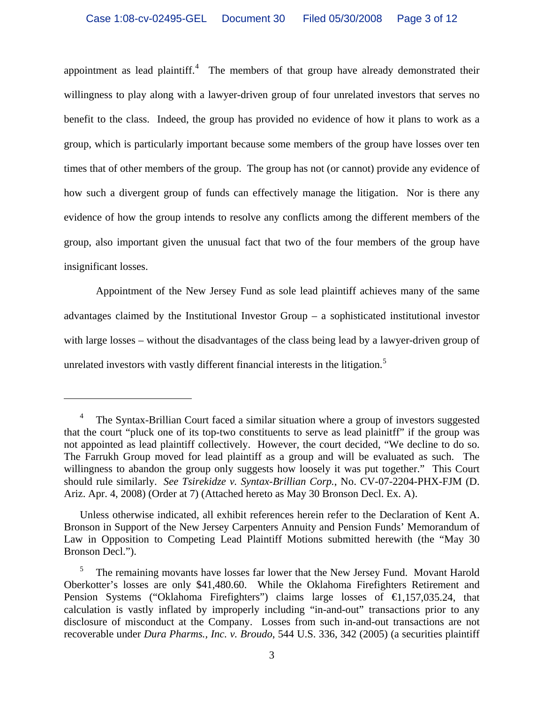appointment as lead plaintiff. $4$  The members of that group have already demonstrated their willingness to play along with a lawyer-driven group of four unrelated investors that serves no benefit to the class. Indeed, the group has provided no evidence of how it plans to work as a group, which is particularly important because some members of the group have losses over ten times that of other members of the group. The group has not (or cannot) provide any evidence of how such a divergent group of funds can effectively manage the litigation. Nor is there any evidence of how the group intends to resolve any conflicts among the different members of the group, also important given the unusual fact that two of the four members of the group have insignificant losses.

Appointment of the New Jersey Fund as sole lead plaintiff achieves many of the same advantages claimed by the Institutional Investor Group – a sophisticated institutional investor with large losses – without the disadvantages of the class being lead by a lawyer-driven group of unrelated investors with vastly different financial interests in the litigation.<sup>[5](#page-2-1)</sup>

<span id="page-2-0"></span><sup>4</sup> The Syntax-Brillian Court faced a similar situation where a group of investors suggested that the court "pluck one of its top-two constituents to serve as lead plainitff" if the group was not appointed as lead plaintiff collectively. However, the court decided, "We decline to do so. The Farrukh Group moved for lead plaintiff as a group and will be evaluated as such. The willingness to abandon the group only suggests how loosely it was put together." This Court should rule similarly. *See Tsirekidze v. Syntax-Brillian Corp.*, No. CV-07-2204-PHX-FJM (D. Ariz. Apr. 4, 2008) (Order at 7) (Attached hereto as May 30 Bronson Decl. Ex. A).

Unless otherwise indicated, all exhibit references herein refer to the Declaration of Kent A. Bronson in Support of the New Jersey Carpenters Annuity and Pension Funds' Memorandum of Law in Opposition to Competing Lead Plaintiff Motions submitted herewith (the "May 30 Bronson Decl.").

<span id="page-2-1"></span><sup>5</sup> The remaining movants have losses far lower that the New Jersey Fund. Movant Harold Oberkotter's losses are only \$41,480.60. While the Oklahoma Firefighters Retirement and Pension Systems ("Oklahoma Firefighters") claims large losses of €1,157,035.24, that calculation is vastly inflated by improperly including "in-and-out" transactions prior to any disclosure of misconduct at the Company. Losses from such in-and-out transactions are not recoverable under *Dura Pharms., Inc. v. Broudo*, 544 U.S. 336, 342 (2005) (a securities plaintiff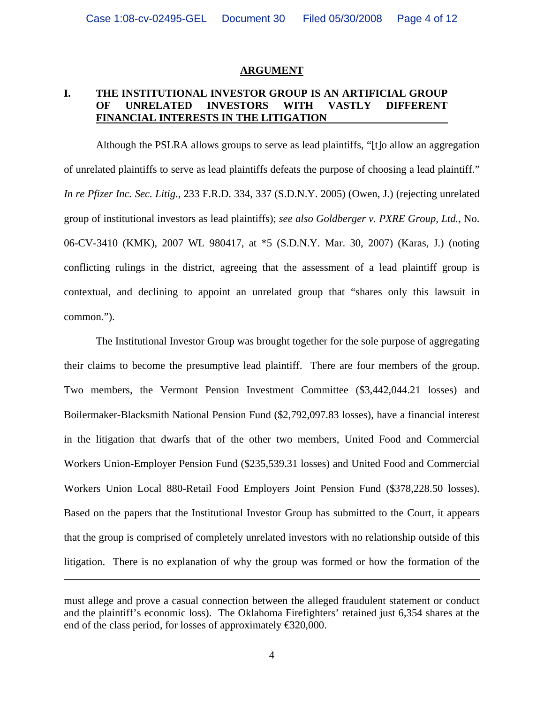#### **ARGUMENT**

### **I. THE INSTITUTIONAL INVESTOR GROUP IS AN ARTIFICIAL GROUP OF UNRELATED INVESTORS WITH VASTLY DIFFERENT FINANCIAL INTERESTS IN THE LITIGATION**

Although the PSLRA allows groups to serve as lead plaintiffs, "[t]o allow an aggregation of unrelated plaintiffs to serve as lead plaintiffs defeats the purpose of choosing a lead plaintiff." *In re Pfizer Inc. Sec. Litig.*, 233 F.R.D. 334, 337 (S.D.N.Y. 2005) (Owen, J.) (rejecting unrelated group of institutional investors as lead plaintiffs); *see also Goldberger v. PXRE Group, Ltd.*, No. 06-CV-3410 (KMK), 2007 WL 980417, at \*5 (S.D.N.Y. Mar. 30, 2007) (Karas, J.) (noting conflicting rulings in the district, agreeing that the assessment of a lead plaintiff group is contextual, and declining to appoint an unrelated group that "shares only this lawsuit in common.").

The Institutional Investor Group was brought together for the sole purpose of aggregating their claims to become the presumptive lead plaintiff. There are four members of the group. Two members, the Vermont Pension Investment Committee (\$3,442,044.21 losses) and Boilermaker-Blacksmith National Pension Fund (\$2,792,097.83 losses), have a financial interest in the litigation that dwarfs that of the other two members, United Food and Commercial Workers Union-Employer Pension Fund (\$235,539.31 losses) and United Food and Commercial Workers Union Local 880-Retail Food Employers Joint Pension Fund (\$378,228.50 losses). Based on the papers that the Institutional Investor Group has submitted to the Court, it appears that the group is comprised of completely unrelated investors with no relationship outside of this litigation. There is no explanation of why the group was formed or how the formation of the

must allege and prove a casual connection between the alleged fraudulent statement or conduct and the plaintiff's economic loss). The Oklahoma Firefighters' retained just 6,354 shares at the end of the class period, for losses of approximately  $\text{\textsterling}20,000$ .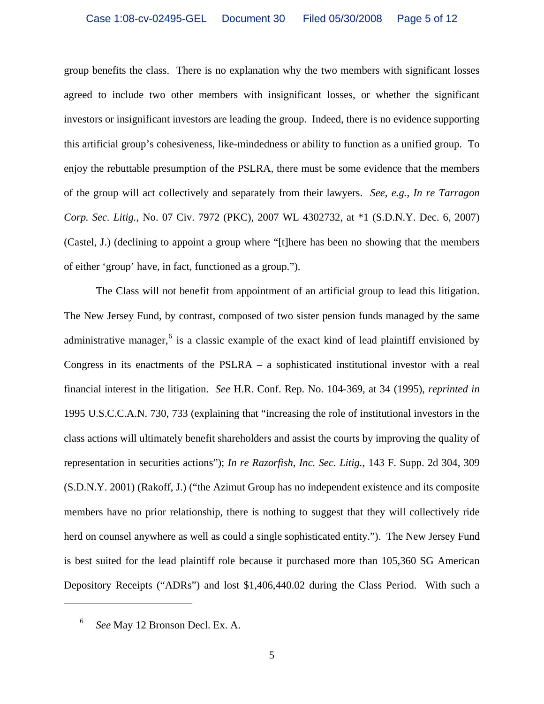group benefits the class. There is no explanation why the two members with significant losses agreed to include two other members with insignificant losses, or whether the significant investors or insignificant investors are leading the group. Indeed, there is no evidence supporting this artificial group's cohesiveness, like-mindedness or ability to function as a unified group. To enjoy the rebuttable presumption of the PSLRA, there must be some evidence that the members of the group will act collectively and separately from their lawyers. *See, e.g., In re Tarragon Corp. Sec. Litig.*, No. 07 Civ. 7972 (PKC), 2007 WL 4302732, at \*1 (S.D.N.Y. Dec. 6, 2007) (Castel, J.) (declining to appoint a group where "[t]here has been no showing that the members of either 'group' have, in fact, functioned as a group.").

The Class will not benefit from appointment of an artificial group to lead this litigation. The New Jersey Fund, by contrast, composed of two sister pension funds managed by the same administrative manager,  $6$  is a classic example of the exact kind of lead plaintiff envisioned by Congress in its enactments of the PSLRA – a sophisticated institutional investor with a real financial interest in the litigation. *See* H.R. Conf. Rep. No. 104-369, at 34 (1995), *reprinted in* 1995 U.S.C.C.A.N. 730, 733 (explaining that "increasing the role of institutional investors in the class actions will ultimately benefit shareholders and assist the courts by improving the quality of representation in securities actions"); *In re Razorfish, Inc. Sec. Litig.*, 143 F. Supp. 2d 304, 309 (S.D.N.Y. 2001) (Rakoff, J.) ("the Azimut Group has no independent existence and its composite members have no prior relationship, there is nothing to suggest that they will collectively ride herd on counsel anywhere as well as could a single sophisticated entity."). The New Jersey Fund is best suited for the lead plaintiff role because it purchased more than 105,360 SG American Depository Receipts ("ADRs") and lost \$1,406,440.02 during the Class Period. With such a

<span id="page-4-0"></span> $\overline{a}$ 

<sup>6</sup> *See* May 12 Bronson Decl. Ex. A.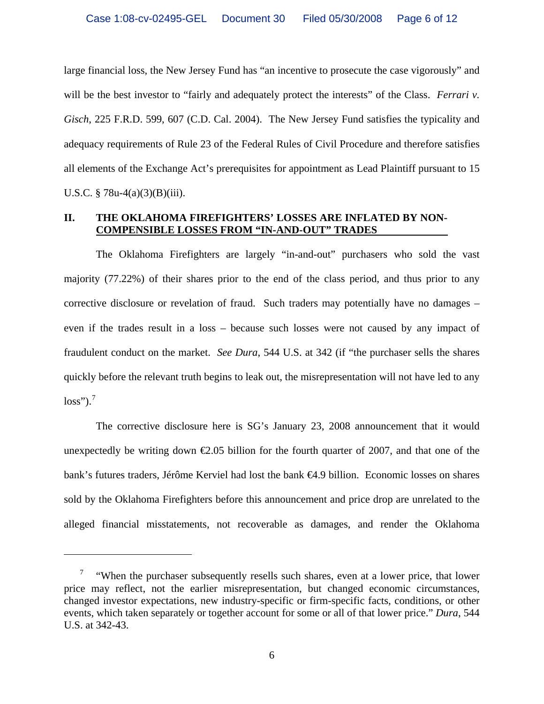large financial loss, the New Jersey Fund has "an incentive to prosecute the case vigorously" and will be the best investor to "fairly and adequately protect the interests" of the Class. *Ferrari v. Gisch*, 225 F.R.D. 599, 607 (C.D. Cal. 2004). The New Jersey Fund satisfies the typicality and adequacy requirements of Rule 23 of the Federal Rules of Civil Procedure and therefore satisfies all elements of the Exchange Act's prerequisites for appointment as Lead Plaintiff pursuant to 15 U.S.C.  $\S 78u-4(a)(3)(B)(iii)$ .

#### **II. THE OKLAHOMA FIREFIGHTERS' LOSSES ARE INFLATED BY NON-COMPENSIBLE LOSSES FROM "IN-AND-OUT" TRADES**

The Oklahoma Firefighters are largely "in-and-out" purchasers who sold the vast majority (77.22%) of their shares prior to the end of the class period, and thus prior to any corrective disclosure or revelation of fraud. Such traders may potentially have no damages – even if the trades result in a loss – because such losses were not caused by any impact of fraudulent conduct on the market. *See Dura*, 544 U.S. at 342 (if "the purchaser sells the shares quickly before the relevant truth begins to leak out, the misrepresentation will not have led to any  $loss"$ ).<sup>[7](#page-5-0)</sup>

The corrective disclosure here is SG's January 23, 2008 announcement that it would unexpectedly be writing down  $\epsilon 2.05$  billion for the fourth quarter of 2007, and that one of the bank's futures traders, Jérôme Kerviel had lost the bank €4.9 billion. Economic losses on shares sold by the Oklahoma Firefighters before this announcement and price drop are unrelated to the alleged financial misstatements, not recoverable as damages, and render the Oklahoma

<span id="page-5-0"></span><sup>&</sup>lt;sup>7</sup> "When the purchaser subsequently resells such shares, even at a lower price, that lower price may reflect, not the earlier misrepresentation, but changed economic circumstances, changed investor expectations, new industry-specific or firm-specific facts, conditions, or other events, which taken separately or together account for some or all of that lower price." *Dura*, 544 U.S. at 342-43.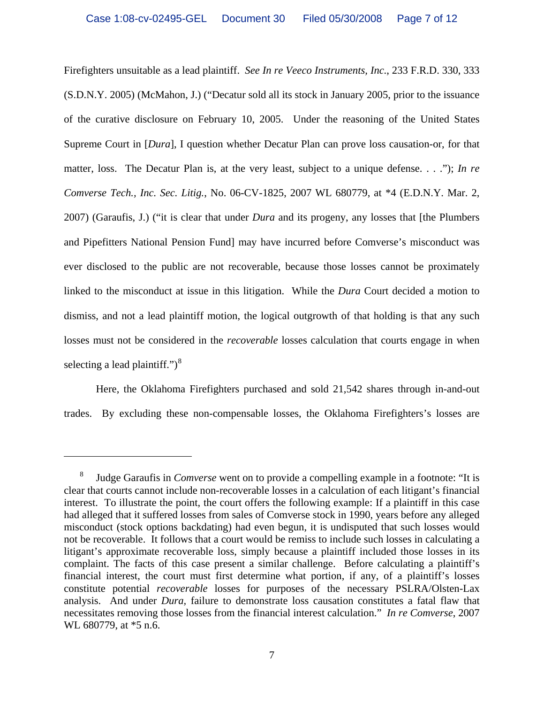Firefighters unsuitable as a lead plaintiff. *See In re Veeco Instruments, Inc.*, 233 F.R.D. 330, 333 (S.D.N.Y. 2005) (McMahon, J.) ("Decatur sold all its stock in January 2005, prior to the issuance of the curative disclosure on February 10, 2005. Under the reasoning of the United States Supreme Court in [*Dura*], I question whether Decatur Plan can prove loss causation-or, for that matter, loss. The Decatur Plan is, at the very least, subject to a unique defense. . . ."); *In re Comverse Tech., Inc. Sec. Litig.*, No. 06-CV-1825, 2007 WL 680779, at \*4 (E.D.N.Y. Mar. 2, 2007) (Garaufis, J.) ("it is clear that under *Dura* and its progeny, any losses that [the Plumbers and Pipefitters National Pension Fund] may have incurred before Comverse's misconduct was ever disclosed to the public are not recoverable, because those losses cannot be proximately linked to the misconduct at issue in this litigation. While the *Dura* Court decided a motion to dismiss, and not a lead plaintiff motion, the logical outgrowth of that holding is that any such losses must not be considered in the *recoverable* losses calculation that courts engage in when selecting a lead plaintiff." $)^8$  $)^8$ 

Here, the Oklahoma Firefighters purchased and sold 21,542 shares through in-and-out trades. By excluding these non-compensable losses, the Oklahoma Firefighters's losses are

<span id="page-6-0"></span><sup>8</sup> Judge Garaufis in *Comverse* went on to provide a compelling example in a footnote: "It is clear that courts cannot include non-recoverable losses in a calculation of each litigant's financial interest. To illustrate the point, the court offers the following example: If a plaintiff in this case had alleged that it suffered losses from sales of Comverse stock in 1990, years before any alleged misconduct (stock options backdating) had even begun, it is undisputed that such losses would not be recoverable. It follows that a court would be remiss to include such losses in calculating a litigant's approximate recoverable loss, simply because a plaintiff included those losses in its complaint. The facts of this case present a similar challenge. Before calculating a plaintiff's financial interest, the court must first determine what portion, if any, of a plaintiff's losses constitute potential *recoverable* losses for purposes of the necessary PSLRA/Olsten-Lax analysis. And under *Dura,* failure to demonstrate loss causation constitutes a fatal flaw that necessitates removing those losses from the financial interest calculation." *In re Comverse*, 2007 WL 680779, at  $*5$  n.6.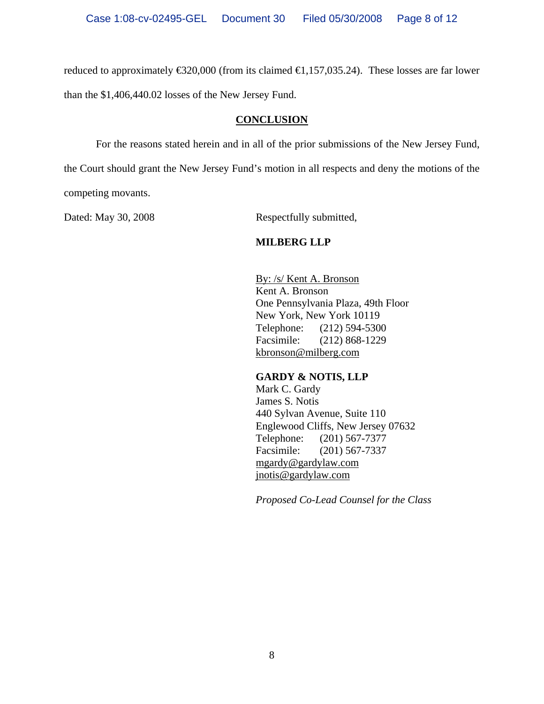reduced to approximately  $\epsilon$ 320,000 (from its claimed  $\epsilon$ 1,157,035.24). These losses are far lower than the \$1,406,440.02 losses of the New Jersey Fund.

#### **CONCLUSION**

For the reasons stated herein and in all of the prior submissions of the New Jersey Fund, the Court should grant the New Jersey Fund's motion in all respects and deny the motions of the competing movants.

Dated: May 30, 2008 Respectfully submitted,

## **MILBERG LLP**

By: /s/ Kent A. Bronson Kent A. Bronson One Pennsylvania Plaza, 49th Floor New York, New York 10119 Telephone: (212) 594-5300 Facsimile: (212) 868-1229 kbronson@milberg.com

## **GARDY & NOTIS, LLP**

Mark C. Gardy James S. Notis 440 Sylvan Avenue, Suite 110 Englewood Cliffs, New Jersey 07632 Telephone: (201) 567-7377 Facsimile: (201) 567-7337 mgardy@gardylaw.com jnotis@gardylaw.com

*Proposed Co-Lead Counsel for the Class*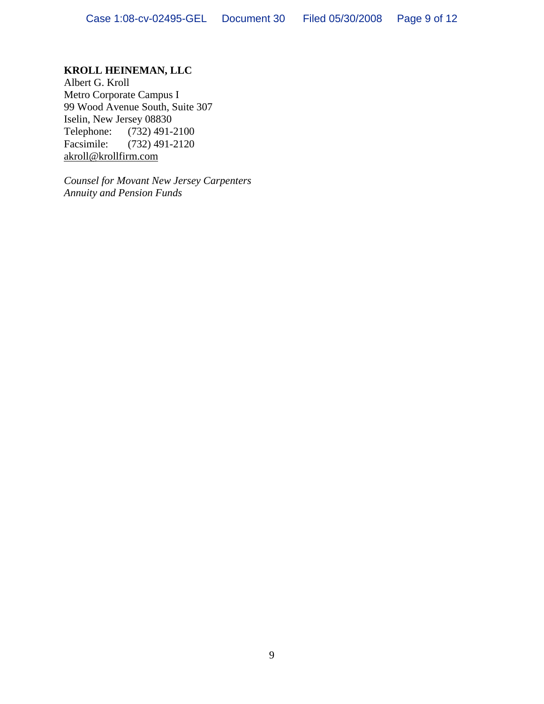## **KROLL HEINEMAN, LLC**

Albert G. Kroll Metro Corporate Campus I 99 Wood Avenue South, Suite 307 Iselin, New Jersey 08830<br>Telephone: (732) 491-2 Telephone: (732) 491-2100<br>Facsimile: (732) 491-2120  $(732)$  491-2120 akroll@krollfirm.com

*Counsel for Movant New Jersey Carpenters Annuity and Pension Funds*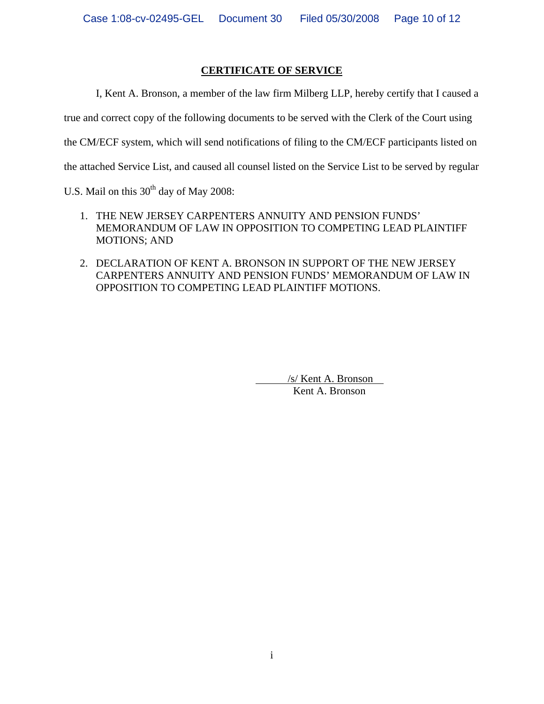## **CERTIFICATE OF SERVICE**

I, Kent A. Bronson, a member of the law firm Milberg LLP, hereby certify that I caused a

true and correct copy of the following documents to be served with the Clerk of the Court using

the CM/ECF system, which will send notifications of filing to the CM/ECF participants listed on

the attached Service List, and caused all counsel listed on the Service List to be served by regular

U.S. Mail on this  $30<sup>th</sup>$  day of May 2008:

- 1. THE NEW JERSEY CARPENTERS ANNUITY AND PENSION FUNDS' MEMORANDUM OF LAW IN OPPOSITION TO COMPETING LEAD PLAINTIFF MOTIONS; AND
- 2. DECLARATION OF KENT A. BRONSON IN SUPPORT OF THE NEW JERSEY CARPENTERS ANNUITY AND PENSION FUNDS' MEMORANDUM OF LAW IN OPPOSITION TO COMPETING LEAD PLAINTIFF MOTIONS.

 /s/ Kent A. Bronson Kent A. Bronson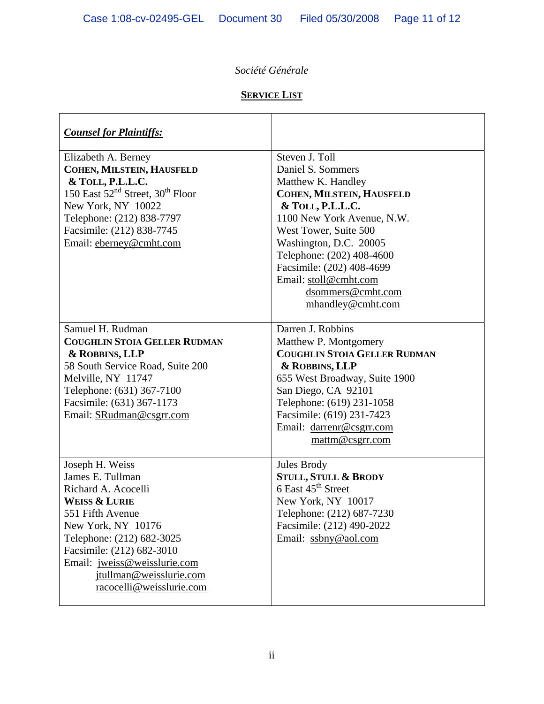# *Société Générale*

# **SERVICE LIST**

| <b>Counsel for Plaintiffs:</b>                                                                                                                                                                                                                                         |                                                                                                                                                                                                                                                                                                                          |
|------------------------------------------------------------------------------------------------------------------------------------------------------------------------------------------------------------------------------------------------------------------------|--------------------------------------------------------------------------------------------------------------------------------------------------------------------------------------------------------------------------------------------------------------------------------------------------------------------------|
| Elizabeth A. Berney<br>COHEN, MILSTEIN, HAUSFELD<br>& TOLL, P.L.L.C.<br>150 East 52 <sup>nd</sup> Street, 30 <sup>th</sup> Floor<br>New York, NY 10022<br>Telephone: (212) 838-7797<br>Facsimile: (212) 838-7745<br>Email: eberney@cmht.com                            | Steven J. Toll<br>Daniel S. Sommers<br>Matthew K. Handley<br>COHEN, MILSTEIN, HAUSFELD<br>& TOLL, P.L.L.C.<br>1100 New York Avenue, N.W.<br>West Tower, Suite 500<br>Washington, D.C. 20005<br>Telephone: (202) 408-4600<br>Facsimile: (202) 408-4699<br>Email: stoll@cmht.com<br>dsommers@cmht.com<br>mhandley@cmht.com |
| Samuel H. Rudman<br><b>COUGHLIN STOIA GELLER RUDMAN</b><br>& ROBBINS, LLP<br>58 South Service Road, Suite 200<br>Melville, NY 11747<br>Telephone: (631) 367-7100<br>Facsimile: (631) 367-1173<br>Email: SRudman@csgrr.com                                              | Darren J. Robbins<br>Matthew P. Montgomery<br><b>COUGHLIN STOIA GELLER RUDMAN</b><br>& ROBBINS, LLP<br>655 West Broadway, Suite 1900<br>San Diego, CA 92101<br>Telephone: (619) 231-1058<br>Facsimile: (619) 231-7423<br>Email: darrenr@csgrr.com<br>mattm@csgrr.com                                                     |
| Joseph H. Weiss<br>James E. Tullman<br>Richard A. Acocelli<br>Weiss & Lurie<br>551 Fifth Avenue<br>New York, NY 10176<br>Telephone: (212) 682-3025<br>Facsimile: (212) 682-3010<br>Email: jweiss@weisslurie.com<br>jtullman@weisslurie.com<br>racocelli@weisslurie.com | Jules Brody<br><b>STULL, STULL &amp; BRODY</b><br>6 East 45 <sup>th</sup> Street<br>New York, NY 10017<br>Telephone: (212) 687-7230<br>Facsimile: (212) 490-2022<br>Email: ssbny@aol.com                                                                                                                                 |